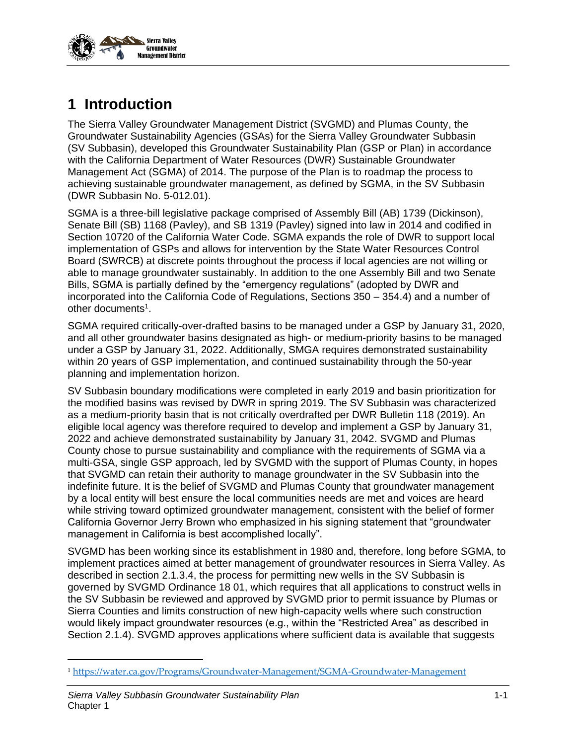

# **1 Introduction**

The Sierra Valley Groundwater Management District (SVGMD) and Plumas County, the Groundwater Sustainability Agencies (GSAs) for the Sierra Valley Groundwater Subbasin (SV Subbasin), developed this Groundwater Sustainability Plan (GSP or Plan) in accordance with the California Department of Water Resources (DWR) Sustainable Groundwater Management Act (SGMA) of 2014. The purpose of the Plan is to roadmap the process to achieving sustainable groundwater management, as defined by SGMA, in the SV Subbasin (DWR Subbasin No. 5-012.01).

SGMA is a three-bill legislative package comprised of Assembly Bill (AB) 1739 (Dickinson), Senate Bill (SB) 1168 (Pavley), and SB 1319 (Pavley) signed into law in 2014 and codified in Section 10720 of the California Water Code. SGMA expands the role of DWR to support local implementation of GSPs and allows for intervention by the State Water Resources Control Board (SWRCB) at discrete points throughout the process if local agencies are not willing or able to manage groundwater sustainably. In addition to the one Assembly Bill and two Senate Bills, SGMA is partially defined by the "emergency regulations" (adopted by DWR and incorporated into the California Code of Regulations, Sections 350 – 354.4) and a number of other documents<sup>1</sup>.

SGMA required critically-over-drafted basins to be managed under a GSP by January 31, 2020, and all other groundwater basins designated as high- or medium-priority basins to be managed under a GSP by January 31, 2022. Additionally, SMGA requires demonstrated sustainability within 20 years of GSP implementation, and continued sustainability through the 50-year planning and implementation horizon.

SV Subbasin boundary modifications were completed in early 2019 and basin prioritization for the modified basins was revised by DWR in spring 2019. The SV Subbasin was characterized as a medium-priority basin that is not critically overdrafted per DWR Bulletin 118 (2019). An eligible local agency was therefore required to develop and implement a GSP by January 31, 2022 and achieve demonstrated sustainability by January 31, 2042. SVGMD and Plumas County chose to pursue sustainability and compliance with the requirements of SGMA via a multi-GSA, single GSP approach, led by SVGMD with the support of Plumas County, in hopes that SVGMD can retain their authority to manage groundwater in the SV Subbasin into the indefinite future. It is the belief of SVGMD and Plumas County that groundwater management by a local entity will best ensure the local communities needs are met and voices are heard while striving toward optimized groundwater management, consistent with the belief of former California Governor Jerry Brown who emphasized in his signing statement that "groundwater management in California is best accomplished locally".

SVGMD has been working since its establishment in 1980 and, therefore, long before SGMA, to implement practices aimed at better management of groundwater resources in Sierra Valley. As described in section 2.1.3.4, the process for permitting new wells in the SV Subbasin is governed by SVGMD Ordinance 18 01, which requires that all applications to construct wells in the SV Subbasin be reviewed and approved by SVGMD prior to permit issuance by Plumas or Sierra Counties and limits construction of new high-capacity wells where such construction would likely impact groundwater resources (e.g., within the "Restricted Area" as described in Section 2.1.4). SVGMD approves applications where sufficient data is available that suggests

<sup>1</sup> <https://water.ca.gov/Programs/Groundwater-Management/SGMA-Groundwater-Management>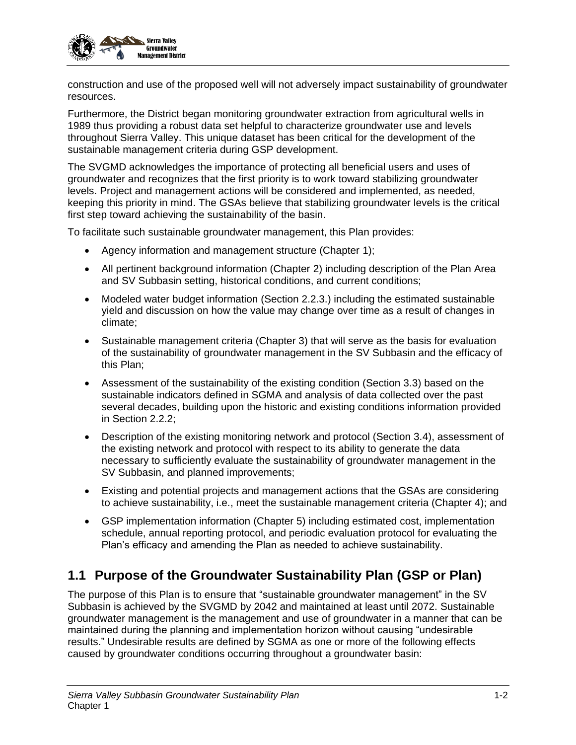

construction and use of the proposed well will not adversely impact sustainability of groundwater resources.

Furthermore, the District began monitoring groundwater extraction from agricultural wells in 1989 thus providing a robust data set helpful to characterize groundwater use and levels throughout Sierra Valley. This unique dataset has been critical for the development of the sustainable management criteria during GSP development.

The SVGMD acknowledges the importance of protecting all beneficial users and uses of groundwater and recognizes that the first priority is to work toward stabilizing groundwater levels. Project and management actions will be considered and implemented, as needed, keeping this priority in mind. The GSAs believe that stabilizing groundwater levels is the critical first step toward achieving the sustainability of the basin.

To facilitate such sustainable groundwater management, this Plan provides:

- Agency information and management structure (Chapter 1);
- All pertinent background information (Chapter 2) including description of the Plan Area and SV Subbasin setting, historical conditions, and current conditions;
- Modeled water budget information (Section 2.2.3.) including the estimated sustainable yield and discussion on how the value may change over time as a result of changes in climate;
- Sustainable management criteria (Chapter 3) that will serve as the basis for evaluation of the sustainability of groundwater management in the SV Subbasin and the efficacy of this Plan;
- Assessment of the sustainability of the existing condition (Section 3.3) based on the sustainable indicators defined in SGMA and analysis of data collected over the past several decades, building upon the historic and existing conditions information provided in Section 2.2.2;
- Description of the existing monitoring network and protocol (Section 3.4), assessment of the existing network and protocol with respect to its ability to generate the data necessary to sufficiently evaluate the sustainability of groundwater management in the SV Subbasin, and planned improvements;
- Existing and potential projects and management actions that the GSAs are considering to achieve sustainability, i.e., meet the sustainable management criteria (Chapter 4); and
- GSP implementation information (Chapter 5) including estimated cost, implementation schedule, annual reporting protocol, and periodic evaluation protocol for evaluating the Plan's efficacy and amending the Plan as needed to achieve sustainability.

## **1.1 Purpose of the Groundwater Sustainability Plan (GSP or Plan)**

The purpose of this Plan is to ensure that "sustainable groundwater management" in the SV Subbasin is achieved by the SVGMD by 2042 and maintained at least until 2072. Sustainable groundwater management is the management and use of groundwater in a manner that can be maintained during the planning and implementation horizon without causing "undesirable results." Undesirable results are defined by SGMA as one or more of the following effects caused by groundwater conditions occurring throughout a groundwater basin: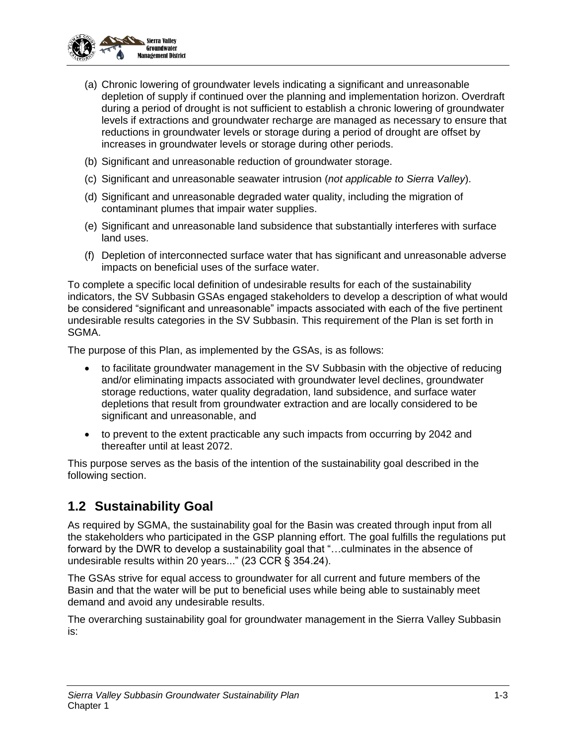

- (a) Chronic lowering of groundwater levels indicating a significant and unreasonable depletion of supply if continued over the planning and implementation horizon. Overdraft during a period of drought is not sufficient to establish a chronic lowering of groundwater levels if extractions and groundwater recharge are managed as necessary to ensure that reductions in groundwater levels or storage during a period of drought are offset by increases in groundwater levels or storage during other periods.
- (b) Significant and unreasonable reduction of groundwater storage.
- (c) Significant and unreasonable seawater intrusion (*not applicable to Sierra Valley*).
- (d) Significant and unreasonable degraded water quality, including the migration of contaminant plumes that impair water supplies.
- (e) Significant and unreasonable land subsidence that substantially interferes with surface land uses.
- (f) Depletion of interconnected surface water that has significant and unreasonable adverse impacts on beneficial uses of the surface water.

To complete a specific local definition of undesirable results for each of the sustainability indicators, the SV Subbasin GSAs engaged stakeholders to develop a description of what would be considered "significant and unreasonable" impacts associated with each of the five pertinent undesirable results categories in the SV Subbasin. This requirement of the Plan is set forth in SGMA.

The purpose of this Plan, as implemented by the GSAs, is as follows:

- to facilitate groundwater management in the SV Subbasin with the objective of reducing and/or eliminating impacts associated with groundwater level declines, groundwater storage reductions, water quality degradation, land subsidence, and surface water depletions that result from groundwater extraction and are locally considered to be significant and unreasonable, and
- to prevent to the extent practicable any such impacts from occurring by 2042 and thereafter until at least 2072.

This purpose serves as the basis of the intention of the sustainability goal described in the following section.

## **1.2 Sustainability Goal**

As required by SGMA, the sustainability goal for the Basin was created through input from all the stakeholders who participated in the GSP planning effort. The goal fulfills the regulations put forward by the DWR to develop a sustainability goal that "…culminates in the absence of undesirable results within 20 years..." (23 CCR § 354.24).

The GSAs strive for equal access to groundwater for all current and future members of the Basin and that the water will be put to beneficial uses while being able to sustainably meet demand and avoid any undesirable results.

The overarching sustainability goal for groundwater management in the Sierra Valley Subbasin is: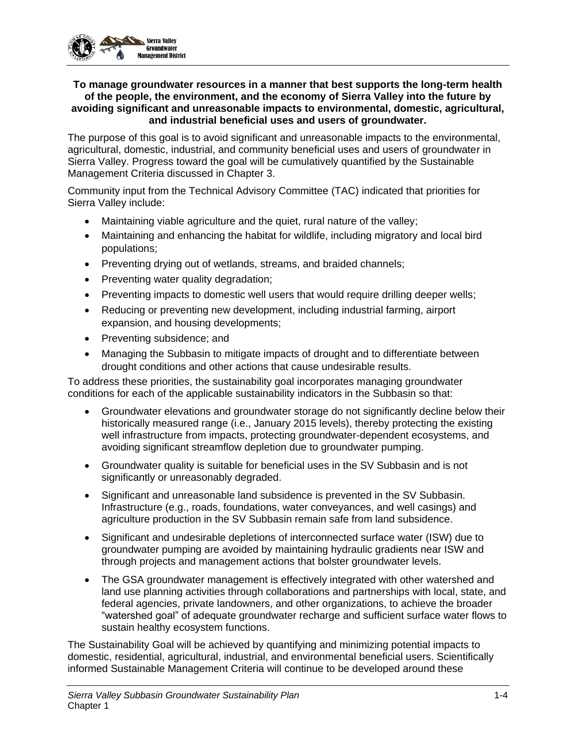

#### **To manage groundwater resources in a manner that best supports the long-term health of the people, the environment, and the economy of Sierra Valley into the future by avoiding significant and unreasonable impacts to environmental, domestic, agricultural, and industrial beneficial uses and users of groundwater.**

The purpose of this goal is to avoid significant and unreasonable impacts to the environmental, agricultural, domestic, industrial, and community beneficial uses and users of groundwater in Sierra Valley. Progress toward the goal will be cumulatively quantified by the Sustainable Management Criteria discussed in Chapter 3.

Community input from the Technical Advisory Committee (TAC) indicated that priorities for Sierra Valley include:

- Maintaining viable agriculture and the quiet, rural nature of the valley;
- Maintaining and enhancing the habitat for wildlife, including migratory and local bird populations;
- Preventing drying out of wetlands, streams, and braided channels;
- Preventing water quality degradation;
- Preventing impacts to domestic well users that would require drilling deeper wells;
- Reducing or preventing new development, including industrial farming, airport expansion, and housing developments;
- Preventing subsidence; and
- Managing the Subbasin to mitigate impacts of drought and to differentiate between drought conditions and other actions that cause undesirable results.

To address these priorities, the sustainability goal incorporates managing groundwater conditions for each of the applicable sustainability indicators in the Subbasin so that:

- Groundwater elevations and groundwater storage do not significantly decline below their historically measured range (i.e., January 2015 levels), thereby protecting the existing well infrastructure from impacts, protecting groundwater-dependent ecosystems, and avoiding significant streamflow depletion due to groundwater pumping.
- Groundwater quality is suitable for beneficial uses in the SV Subbasin and is not significantly or unreasonably degraded.
- Significant and unreasonable land subsidence is prevented in the SV Subbasin. Infrastructure (e.g., roads, foundations, water conveyances, and well casings) and agriculture production in the SV Subbasin remain safe from land subsidence.
- Significant and undesirable depletions of interconnected surface water (ISW) due to groundwater pumping are avoided by maintaining hydraulic gradients near ISW and through projects and management actions that bolster groundwater levels.
- The GSA groundwater management is effectively integrated with other watershed and land use planning activities through collaborations and partnerships with local, state, and federal agencies, private landowners, and other organizations, to achieve the broader "watershed goal" of adequate groundwater recharge and sufficient surface water flows to sustain healthy ecosystem functions.

The Sustainability Goal will be achieved by quantifying and minimizing potential impacts to domestic, residential, agricultural, industrial, and environmental beneficial users. Scientifically informed Sustainable Management Criteria will continue to be developed around these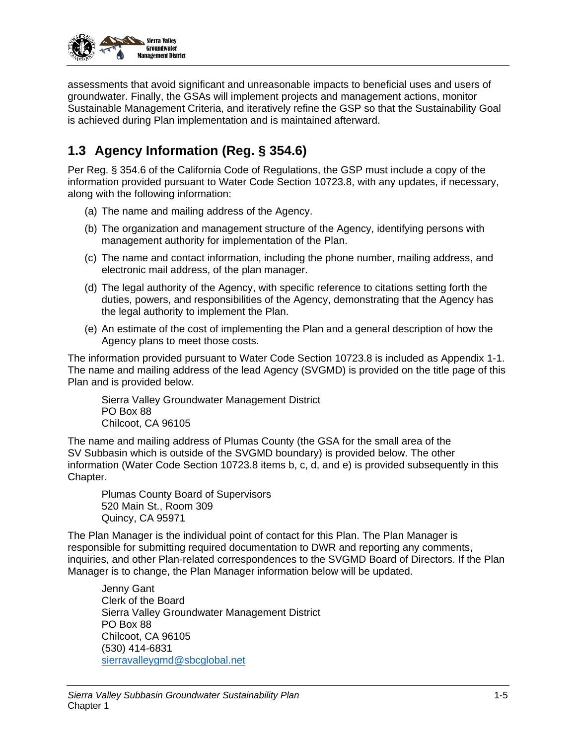

assessments that avoid significant and unreasonable impacts to beneficial uses and users of groundwater. Finally, the GSAs will implement projects and management actions, monitor Sustainable Management Criteria, and iteratively refine the GSP so that the Sustainability Goal is achieved during Plan implementation and is maintained afterward.

# **1.3 Agency Information (Reg. § 354.6)**

Per Reg. § 354.6 of the California Code of Regulations, the GSP must include a copy of the information provided pursuant to Water Code Section 10723.8, with any updates, if necessary, along with the following information:

- (a) The name and mailing address of the Agency.
- (b) The organization and management structure of the Agency, identifying persons with management authority for implementation of the Plan.
- (c) The name and contact information, including the phone number, mailing address, and electronic mail address, of the plan manager.
- (d) The legal authority of the Agency, with specific reference to citations setting forth the duties, powers, and responsibilities of the Agency, demonstrating that the Agency has the legal authority to implement the Plan.
- (e) An estimate of the cost of implementing the Plan and a general description of how the Agency plans to meet those costs.

The information provided pursuant to Water Code Section 10723.8 is included as Appendix 1-1. The name and mailing address of the lead Agency (SVGMD) is provided on the title page of this Plan and is provided below.

Sierra Valley Groundwater Management District PO Box 88 Chilcoot, CA 96105

The name and mailing address of Plumas County (the GSA for the small area of the SV Subbasin which is outside of the SVGMD boundary) is provided below. The other information (Water Code Section 10723.8 items b, c, d, and e) is provided subsequently in this Chapter.

Plumas County Board of Supervisors 520 Main St., Room 309 Quincy, CA 95971

The Plan Manager is the individual point of contact for this Plan. The Plan Manager is responsible for submitting required documentation to DWR and reporting any comments, inquiries, and other Plan-related correspondences to the SVGMD Board of Directors. If the Plan Manager is to change, the Plan Manager information below will be updated.

Jenny Gant Clerk of the Board Sierra Valley Groundwater Management District PO Box 88 Chilcoot, CA 96105 (530) 414-6831 [sierravalleygmd@sbcglobal.net](mailto:sierravalleygmd@sbcglobal.net)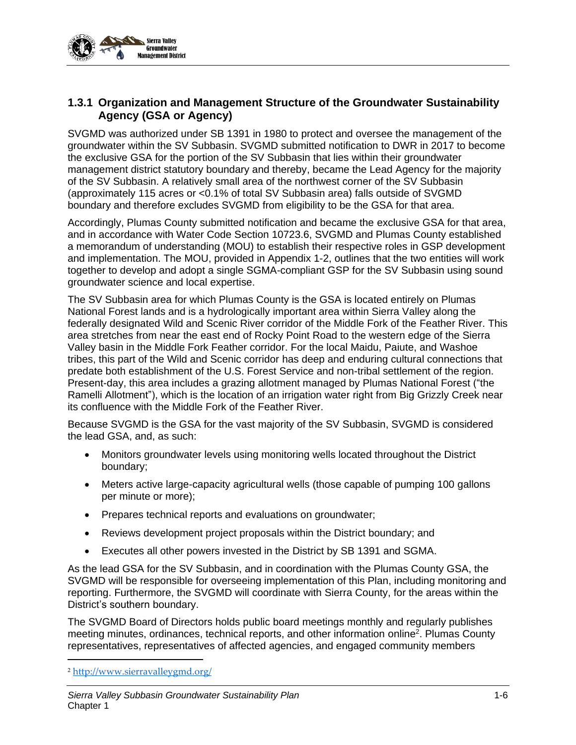

### **1.3.1 Organization and Management Structure of the Groundwater Sustainability Agency (GSA or Agency)**

SVGMD was authorized under SB 1391 in 1980 to protect and oversee the management of the groundwater within the SV Subbasin. SVGMD submitted notification to DWR in 2017 to become the exclusive GSA for the portion of the SV Subbasin that lies within their groundwater management district statutory boundary and thereby, became the Lead Agency for the majority of the SV Subbasin. A relatively small area of the northwest corner of the SV Subbasin (approximately 115 acres or <0.1% of total SV Subbasin area) falls outside of SVGMD boundary and therefore excludes SVGMD from eligibility to be the GSA for that area.

Accordingly, Plumas County submitted notification and became the exclusive GSA for that area, and in accordance with Water Code Section 10723.6, SVGMD and Plumas County established a memorandum of understanding (MOU) to establish their respective roles in GSP development and implementation. The MOU, provided in Appendix 1-2, outlines that the two entities will work together to develop and adopt a single SGMA-compliant GSP for the SV Subbasin using sound groundwater science and local expertise.

The SV Subbasin area for which Plumas County is the GSA is located entirely on Plumas National Forest lands and is a hydrologically important area within Sierra Valley along the federally designated Wild and Scenic River corridor of the Middle Fork of the Feather River. This area stretches from near the east end of Rocky Point Road to the western edge of the Sierra Valley basin in the Middle Fork Feather corridor. For the local Maidu, Paiute, and Washoe tribes, this part of the Wild and Scenic corridor has deep and enduring cultural connections that predate both establishment of the U.S. Forest Service and non-tribal settlement of the region. Present-day, this area includes a grazing allotment managed by Plumas National Forest ("the Ramelli Allotment"), which is the location of an irrigation water right from Big Grizzly Creek near its confluence with the Middle Fork of the Feather River.

Because SVGMD is the GSA for the vast majority of the SV Subbasin, SVGMD is considered the lead GSA, and, as such:

- Monitors groundwater levels using monitoring wells located throughout the District boundary;
- Meters active large-capacity agricultural wells (those capable of pumping 100 gallons per minute or more);
- Prepares technical reports and evaluations on groundwater;
- Reviews development project proposals within the District boundary; and
- Executes all other powers invested in the District by SB 1391 and SGMA.

As the lead GSA for the SV Subbasin, and in coordination with the Plumas County GSA, the SVGMD will be responsible for overseeing implementation of this Plan, including monitoring and reporting. Furthermore, the SVGMD will coordinate with Sierra County, for the areas within the District's southern boundary.

The SVGMD Board of Directors holds public board meetings monthly and regularly publishes meeting minutes, ordinances, technical reports, and other information online<sup>2</sup>. Plumas County representatives, representatives of affected agencies, and engaged community members

<sup>2</sup> <http://www.sierravalleygmd.org/>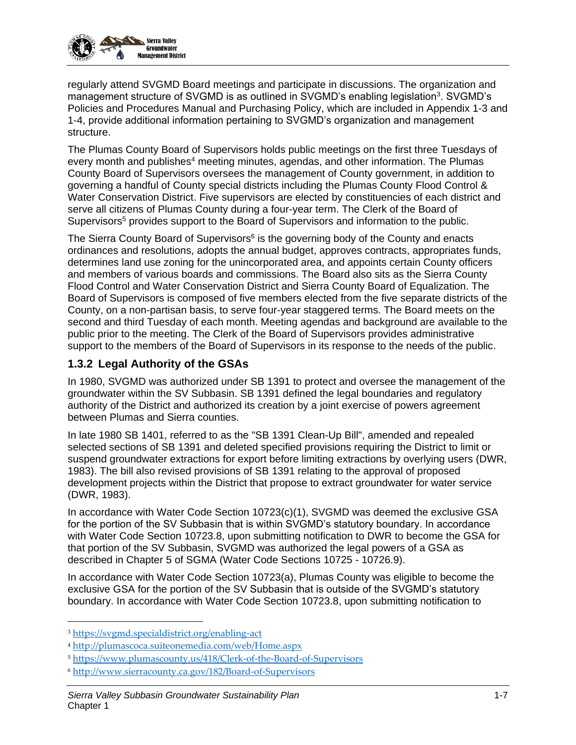

regularly attend SVGMD Board meetings and participate in discussions. The organization and management structure of SVGMD is as outlined in SVGMD's enabling legislation<sup>3</sup>. SVGMD's Policies and Procedures Manual and Purchasing Policy, which are included in Appendix 1-3 and 1-4, provide additional information pertaining to SVGMD's organization and management structure.

The Plumas County Board of Supervisors holds public meetings on the first three Tuesdays of every month and publishes<sup>4</sup> meeting minutes, agendas, and other information. The Plumas County Board of Supervisors oversees the management of County government, in addition to governing a handful of County special districts including the Plumas County Flood Control & Water Conservation District. Five supervisors are elected by constituencies of each district and serve all citizens of Plumas County during a four-year term. The Clerk of the Board of Supervisors<sup>5</sup> provides support to the Board of Supervisors and information to the public.

The Sierra County Board of Supervisors<sup>6</sup> is the governing body of the County and enacts ordinances and resolutions, adopts the annual budget, approves contracts, appropriates funds, determines land use zoning for the unincorporated area, and appoints certain County officers and members of various boards and commissions. The Board also sits as the Sierra County Flood Control and Water Conservation District and Sierra County Board of Equalization. The Board of Supervisors is composed of five members elected from the five separate districts of the County, on a non-partisan basis, to serve four-year staggered terms. The Board meets on the second and third Tuesday of each month. Meeting agendas and background are available to the public prior to the meeting. The Clerk of the Board of Supervisors provides administrative support to the members of the Board of Supervisors in its response to the needs of the public.

### **1.3.2 Legal Authority of the GSAs**

In 1980, SVGMD was authorized under SB 1391 to protect and oversee the management of the groundwater within the SV Subbasin. SB 1391 defined the legal boundaries and regulatory authority of the District and authorized its creation by a joint exercise of powers agreement between Plumas and Sierra counties.

In late 1980 SB 1401, referred to as the "SB 1391 Clean-Up Bill", amended and repealed selected sections of SB 1391 and deleted specified provisions requiring the District to limit or suspend groundwater extractions for export before limiting extractions by overlying users (DWR, 1983). The bill also revised provisions of SB 1391 relating to the approval of proposed development projects within the District that propose to extract groundwater for water service (DWR, 1983).

In accordance with Water Code Section 10723(c)(1), SVGMD was deemed the exclusive GSA for the portion of the SV Subbasin that is within SVGMD's statutory boundary. In accordance with Water Code Section 10723.8, upon submitting notification to DWR to become the GSA for that portion of the SV Subbasin, SVGMD was authorized the legal powers of a GSA as described in Chapter 5 of SGMA (Water Code Sections 10725 - 10726.9).

In accordance with Water Code Section 10723(a), Plumas County was eligible to become the exclusive GSA for the portion of the SV Subbasin that is outside of the SVGMD's statutory boundary. In accordance with Water Code Section 10723.8, upon submitting notification to

<sup>3</sup> <https://svgmd.specialdistrict.org/enabling-act>

<sup>4</sup> <http://plumascoca.suiteonemedia.com/web/Home.aspx>

<sup>5</sup> <https://www.plumascounty.us/418/Clerk-of-the-Board-of-Supervisors>

<sup>6</sup> <http://www.sierracounty.ca.gov/182/Board-of-Supervisors>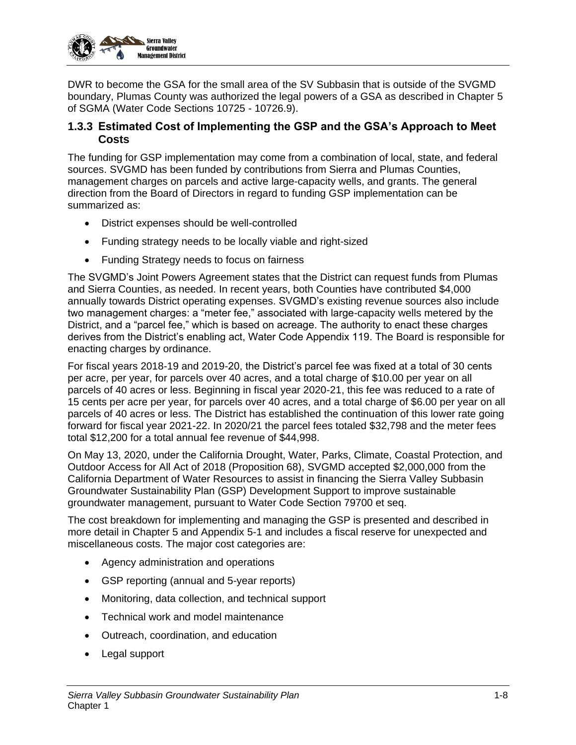

DWR to become the GSA for the small area of the SV Subbasin that is outside of the SVGMD boundary, Plumas County was authorized the legal powers of a GSA as described in Chapter 5 of SGMA (Water Code Sections 10725 - 10726.9).

#### **1.3.3 Estimated Cost of Implementing the GSP and the GSA's Approach to Meet Costs**

The funding for GSP implementation may come from a combination of local, state, and federal sources. SVGMD has been funded by contributions from Sierra and Plumas Counties, management charges on parcels and active large-capacity wells, and grants. The general direction from the Board of Directors in regard to funding GSP implementation can be summarized as:

- District expenses should be well-controlled
- Funding strategy needs to be locally viable and right-sized
- Funding Strategy needs to focus on fairness

The SVGMD's Joint Powers Agreement states that the District can request funds from Plumas and Sierra Counties, as needed. In recent years, both Counties have contributed \$4,000 annually towards District operating expenses. SVGMD's existing revenue sources also include two management charges: a "meter fee," associated with large-capacity wells metered by the District, and a "parcel fee," which is based on acreage. The authority to enact these charges derives from the District's enabling act, Water Code Appendix 119. The Board is responsible for enacting charges by ordinance.

For fiscal years 2018-19 and 2019-20, the District's parcel fee was fixed at a total of 30 cents per acre, per year, for parcels over 40 acres, and a total charge of \$10.00 per year on all parcels of 40 acres or less. Beginning in fiscal year 2020-21, this fee was reduced to a rate of 15 cents per acre per year, for parcels over 40 acres, and a total charge of \$6.00 per year on all parcels of 40 acres or less. The District has established the continuation of this lower rate going forward for fiscal year 2021-22. In 2020/21 the parcel fees totaled \$32,798 and the meter fees total \$12,200 for a total annual fee revenue of \$44,998.

On May 13, 2020, under the California Drought, Water, Parks, Climate, Coastal Protection, and Outdoor Access for All Act of 2018 (Proposition 68), SVGMD accepted \$2,000,000 from the California Department of Water Resources to assist in financing the Sierra Valley Subbasin Groundwater Sustainability Plan (GSP) Development Support to improve sustainable groundwater management, pursuant to Water Code Section 79700 et seq.

The cost breakdown for implementing and managing the GSP is presented and described in more detail in Chapter 5 and Appendix 5-1 and includes a fiscal reserve for unexpected and miscellaneous costs. The major cost categories are:

- Agency administration and operations
- GSP reporting (annual and 5-year reports)
- Monitoring, data collection, and technical support
- Technical work and model maintenance
- Outreach, coordination, and education
- Legal support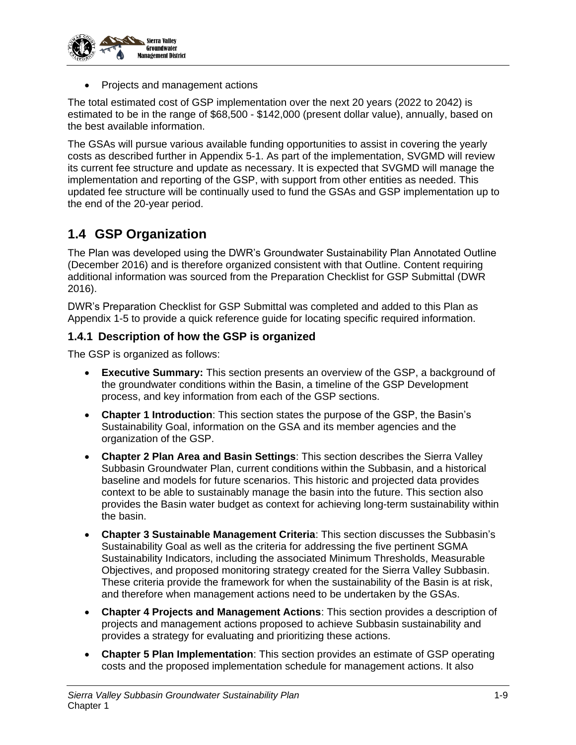

• Projects and management actions

The total estimated cost of GSP implementation over the next 20 years (2022 to 2042) is estimated to be in the range of \$68,500 - \$142,000 (present dollar value), annually, based on the best available information.

The GSAs will pursue various available funding opportunities to assist in covering the yearly costs as described further in Appendix 5-1. As part of the implementation, SVGMD will review its current fee structure and update as necessary. It is expected that SVGMD will manage the implementation and reporting of the GSP, with support from other entities as needed. This updated fee structure will be continually used to fund the GSAs and GSP implementation up to the end of the 20-year period.

## **1.4 GSP Organization**

The Plan was developed using the DWR's Groundwater Sustainability Plan Annotated Outline (December 2016) and is therefore organized consistent with that Outline. Content requiring additional information was sourced from the Preparation Checklist for GSP Submittal (DWR 2016).

DWR's Preparation Checklist for GSP Submittal was completed and added to this Plan as Appendix 1-5 to provide a quick reference guide for locating specific required information.

### **1.4.1 Description of how the GSP is organized**

The GSP is organized as follows:

- **Executive Summary:** This section presents an overview of the GSP, a background of the groundwater conditions within the Basin, a timeline of the GSP Development process, and key information from each of the GSP sections.
- **Chapter 1 Introduction**: This section states the purpose of the GSP, the Basin's Sustainability Goal, information on the GSA and its member agencies and the organization of the GSP.
- **Chapter 2 Plan Area and Basin Settings**: This section describes the Sierra Valley Subbasin Groundwater Plan, current conditions within the Subbasin, and a historical baseline and models for future scenarios. This historic and projected data provides context to be able to sustainably manage the basin into the future. This section also provides the Basin water budget as context for achieving long-term sustainability within the basin.
- **Chapter 3 Sustainable Management Criteria**: This section discusses the Subbasin's Sustainability Goal as well as the criteria for addressing the five pertinent SGMA Sustainability Indicators, including the associated Minimum Thresholds, Measurable Objectives, and proposed monitoring strategy created for the Sierra Valley Subbasin. These criteria provide the framework for when the sustainability of the Basin is at risk, and therefore when management actions need to be undertaken by the GSAs.
- **Chapter 4 Projects and Management Actions**: This section provides a description of projects and management actions proposed to achieve Subbasin sustainability and provides a strategy for evaluating and prioritizing these actions.
- **Chapter 5 Plan Implementation**: This section provides an estimate of GSP operating costs and the proposed implementation schedule for management actions. It also